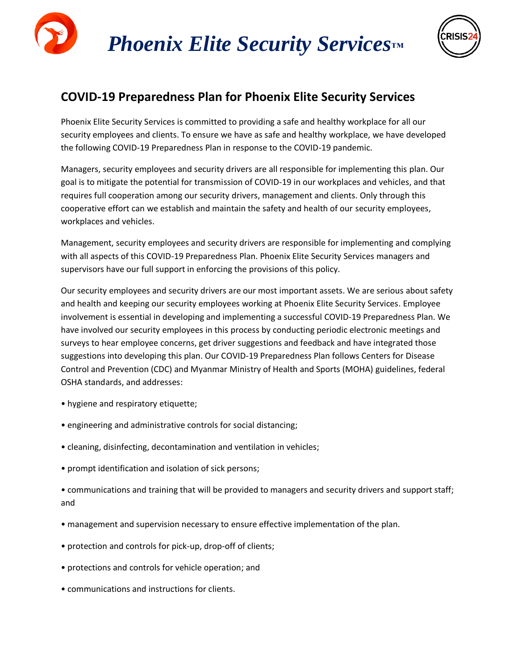



### **COVID-19 Preparedness Plan for Phoenix Elite Security Services**

Phoenix Elite Security Services is committed to providing a safe and healthy workplace for all our security employees and clients. To ensure we have as safe and healthy workplace, we have developed the following COVID-19 Preparedness Plan in response to the COVID-19 pandemic.

Managers, security employees and security drivers are all responsible for implementing this plan. Our goal is to mitigate the potential for transmission of COVID-19 in our workplaces and vehicles, and that requires full cooperation among our security drivers, management and clients. Only through this cooperative effort can we establish and maintain the safety and health of our security employees, workplaces and vehicles.

Management, security employees and security drivers are responsible for implementing and complying with all aspects of this COVID-19 Preparedness Plan. Phoenix Elite Security Services managers and supervisors have our full support in enforcing the provisions of this policy.

Our security employees and security drivers are our most important assets. We are serious about safety and health and keeping our security employees working at Phoenix Elite Security Services. Employee involvement is essential in developing and implementing a successful COVID-19 Preparedness Plan. We have involved our security employees in this process by conducting periodic electronic meetings and surveys to hear employee concerns, get driver suggestions and feedback and have integrated those suggestions into developing this plan. Our COVID-19 Preparedness Plan follows Centers for Disease Control and Prevention (CDC) and Myanmar Ministry of Health and Sports (MOHA) guidelines, federal OSHA standards, and addresses:

- hygiene and respiratory etiquette;
- engineering and administrative controls for social distancing;
- cleaning, disinfecting, decontamination and ventilation in vehicles;
- prompt identification and isolation of sick persons;

• communications and training that will be provided to managers and security drivers and support staff; and

- management and supervision necessary to ensure effective implementation of the plan.
- protection and controls for pick-up, drop-off of clients;
- protections and controls for vehicle operation; and
- communications and instructions for clients.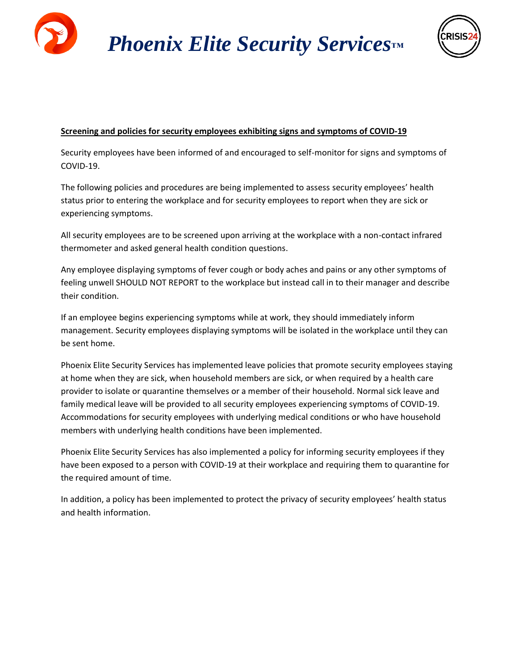

 *Phoenix Elite Security Services™*



### **Screening and policies for security employees exhibiting signs and symptoms of COVID-19**

Security employees have been informed of and encouraged to self-monitor for signs and symptoms of COVID-19.

The following policies and procedures are being implemented to assess security employees' health status prior to entering the workplace and for security employees to report when they are sick or experiencing symptoms.

All security employees are to be screened upon arriving at the workplace with a non-contact infrared thermometer and asked general health condition questions.

Any employee displaying symptoms of fever cough or body aches and pains or any other symptoms of feeling unwell SHOULD NOT REPORT to the workplace but instead call in to their manager and describe their condition.

If an employee begins experiencing symptoms while at work, they should immediately inform management. Security employees displaying symptoms will be isolated in the workplace until they can be sent home.

Phoenix Elite Security Services has implemented leave policies that promote security employees staying at home when they are sick, when household members are sick, or when required by a health care provider to isolate or quarantine themselves or a member of their household. Normal sick leave and family medical leave will be provided to all security employees experiencing symptoms of COVID-19. Accommodations for security employees with underlying medical conditions or who have household members with underlying health conditions have been implemented.

Phoenix Elite Security Services has also implemented a policy for informing security employees if they have been exposed to a person with COVID-19 at their workplace and requiring them to quarantine for the required amount of time.

In addition, a policy has been implemented to protect the privacy of security employees' health status and health information.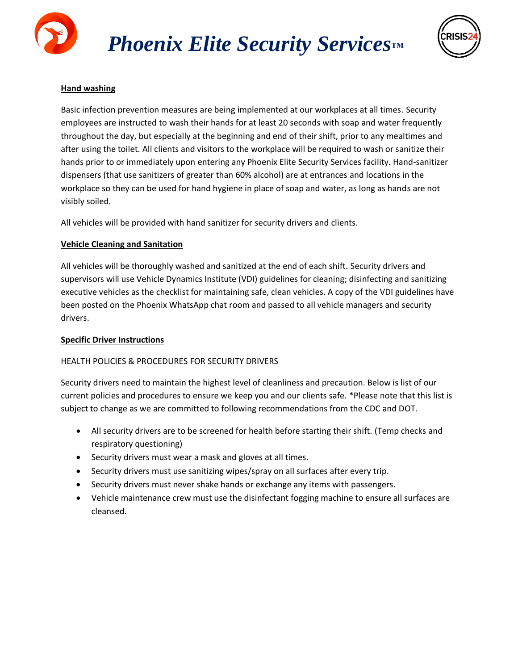



### **Hand washing**

Basic infection prevention measures are being implemented at our workplaces at all times. Security employees are instructed to wash their hands for at least 20 seconds with soap and water frequently throughout the day, but especially at the beginning and end of their shift, prior to any mealtimes and after using the toilet. All clients and visitors to the workplace will be required to wash or sanitize their hands prior to or immediately upon entering any Phoenix Elite Security Services facility. Hand-sanitizer dispensers (that use sanitizers of greater than 60% alcohol) are at entrances and locations in the workplace so they can be used for hand hygiene in place of soap and water, as long as hands are not visibly soiled.

All vehicles will be provided with hand sanitizer for security drivers and clients.

### **Vehicle Cleaning and Sanitation**

All vehicles will be thoroughly washed and sanitized at the end of each shift. Security drivers and supervisors will use Vehicle Dynamics Institute (VDI) guidelines for cleaning; disinfecting and sanitizing executive vehicles as the checklist for maintaining safe, clean vehicles. A copy of the VDI guidelines have been posted on the Phoenix WhatsApp chat room and passed to all vehicle managers and security drivers.

### **Specific Driver Instructions**

### HEALTH POLICIES & PROCEDURES FOR SECURITY DRIVERS

Security drivers need to maintain the highest level of cleanliness and precaution. Below is list of our current policies and procedures to ensure we keep you and our clients safe. \*Please note that this list is subject to change as we are committed to following recommendations from the CDC and DOT.

- All security drivers are to be screened for health before starting their shift. (Temp checks and respiratory questioning)
- Security drivers must wear a mask and gloves at all times.
- Security drivers must use sanitizing wipes/spray on all surfaces after every trip.
- Security drivers must never shake hands or exchange any items with passengers.
- Vehicle maintenance crew must use the disinfectant fogging machine to ensure all surfaces are cleansed.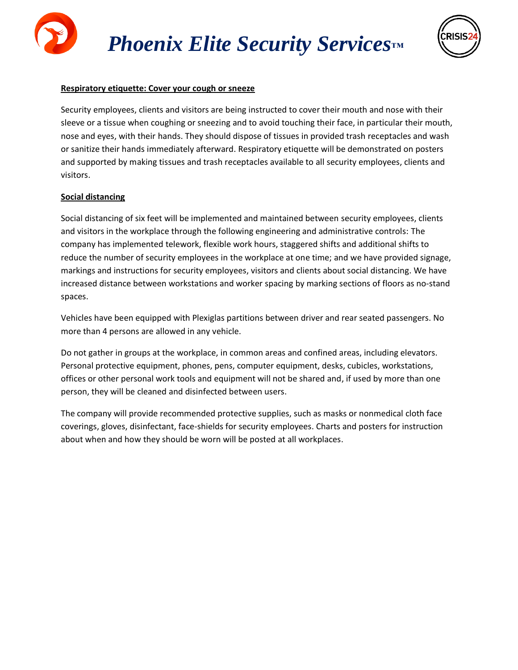## *Phoenix Elite Security Services™*



### **Respiratory etiquette: Cover your cough or sneeze**

Security employees, clients and visitors are being instructed to cover their mouth and nose with their sleeve or a tissue when coughing or sneezing and to avoid touching their face, in particular their mouth, nose and eyes, with their hands. They should dispose of tissues in provided trash receptacles and wash or sanitize their hands immediately afterward. Respiratory etiquette will be demonstrated on posters and supported by making tissues and trash receptacles available to all security employees, clients and visitors.

### **Social distancing**

Social distancing of six feet will be implemented and maintained between security employees, clients and visitors in the workplace through the following engineering and administrative controls: The company has implemented telework, flexible work hours, staggered shifts and additional shifts to reduce the number of security employees in the workplace at one time; and we have provided signage, markings and instructions for security employees, visitors and clients about social distancing. We have increased distance between workstations and worker spacing by marking sections of floors as no-stand spaces.

Vehicles have been equipped with Plexiglas partitions between driver and rear seated passengers. No more than 4 persons are allowed in any vehicle.

Do not gather in groups at the workplace, in common areas and confined areas, including elevators. Personal protective equipment, phones, pens, computer equipment, desks, cubicles, workstations, offices or other personal work tools and equipment will not be shared and, if used by more than one person, they will be cleaned and disinfected between users.

The company will provide recommended protective supplies, such as masks or nonmedical cloth face coverings, gloves, disinfectant, face-shields for security employees. Charts and posters for instruction about when and how they should be worn will be posted at all workplaces.